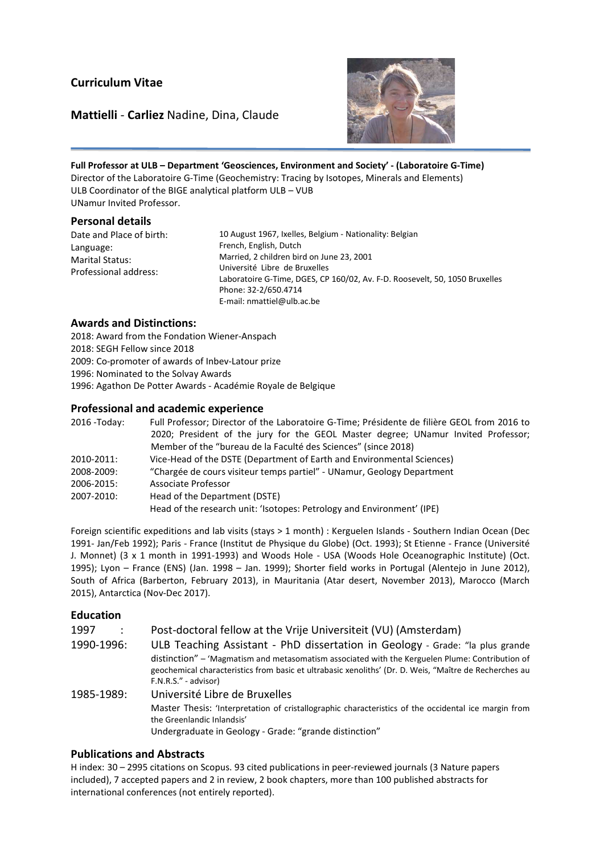# Curriculum Vitae

## Mattielli - Carliez Nadine, Dina, Claude



Full Professor at ULB – Department 'Geosciences, Environment and Society' - (Laboratoire G-Time) Director of the Laboratoire G-Time (Geochemistry: Tracing by Isotopes, Minerals and Elements) ULB Coordinator of the BIGE analytical platform ULB – VUB UNamur Invited Professor.

### Personal details

E

Date and Place of birth: Language: Marital Status: Professional address:

10 August 1967, Ixelles, Belgium - Nationality: Belgian French, English, Dutch Married, 2 children bird on June 23, 2001 Université Libre de Bruxelles Laboratoire G-Time, DGES, CP 160/02, Av. F-D. Roosevelt, 50, 1050 Bruxelles Phone: 32-2/650.4714 E-mail: nmattiel@ulb.ac.be

### Awards and Distinctions:

2018: Award from the Fondation Wiener-Anspach 2018: SEGH Fellow since 2018 2009: Co-promoter of awards of Inbev-Latour prize 1996: Nominated to the Solvay Awards 1996: Agathon De Potter Awards - Académie Royale de Belgique

### Professional and academic experience

| 2016 - Today: | Full Professor; Director of the Laboratoire G-Time; Présidente de filière GEOL from 2016 to |  |  |  |  |  |
|---------------|---------------------------------------------------------------------------------------------|--|--|--|--|--|
|               | 2020; President of the jury for the GEOL Master degree; UNamur Invited Professor;           |  |  |  |  |  |
|               | Member of the "bureau de la Faculté des Sciences" (since 2018)                              |  |  |  |  |  |
| 2010-2011:    | Vice-Head of the DSTE (Department of Earth and Environmental Sciences)                      |  |  |  |  |  |
| 2008-2009:    | "Chargée de cours visiteur temps partiel" - UNamur, Geology Department                      |  |  |  |  |  |
| 2006-2015:    | Associate Professor                                                                         |  |  |  |  |  |
| 2007-2010:    | Head of the Department (DSTE)                                                               |  |  |  |  |  |
|               | Head of the research unit: 'Isotopes: Petrology and Environment' (IPE)                      |  |  |  |  |  |

Foreign scientific expeditions and lab visits (stays > 1 month) : Kerguelen Islands - Southern Indian Ocean (Dec 1991- Jan/Feb 1992); Paris - France (Institut de Physique du Globe) (Oct. 1993); St Etienne - France (Université J. Monnet) (3 x 1 month in 1991-1993) and Woods Hole - USA (Woods Hole Oceanographic Institute) (Oct. 1995); Lyon – France (ENS) (Jan. 1998 – Jan. 1999); Shorter field works in Portugal (Alentejo in June 2012), South of Africa (Barberton, February 2013), in Mauritania (Atar desert, November 2013), Marocco (March 2015), Antarctica (Nov-Dec 2017).

### Education

| 1997       |  | Post-doctoral fellow at the Vrije Universiteit (VU) (Amsterdam)                                        |
|------------|--|--------------------------------------------------------------------------------------------------------|
| 1990-1996: |  | ULB Teaching Assistant - PhD dissertation in Geology - Grade: "la plus grande                          |
|            |  | distinction" – 'Magmatism and metasomatism associated with the Kerguelen Plume: Contribution of        |
|            |  | geochemical characteristics from basic et ultrabasic xenoliths' (Dr. D. Weis, "Maître de Recherches au |

F.N.R.S." - advisor) 1985-1989: Université Libre de Bruxelles Master Thesis: 'Interpretation of cristallographic characteristics of the occidental ice margin from the Greenlandic Inlandsis' Undergraduate in Geology - Grade: "grande distinction"

## Publications and Abstracts

H index: 30 – 2995 citations on Scopus. 93 cited publications in peer-reviewed journals (3 Nature papers included), 7 accepted papers and 2 in review, 2 book chapters, more than 100 published abstracts for international conferences (not entirely reported).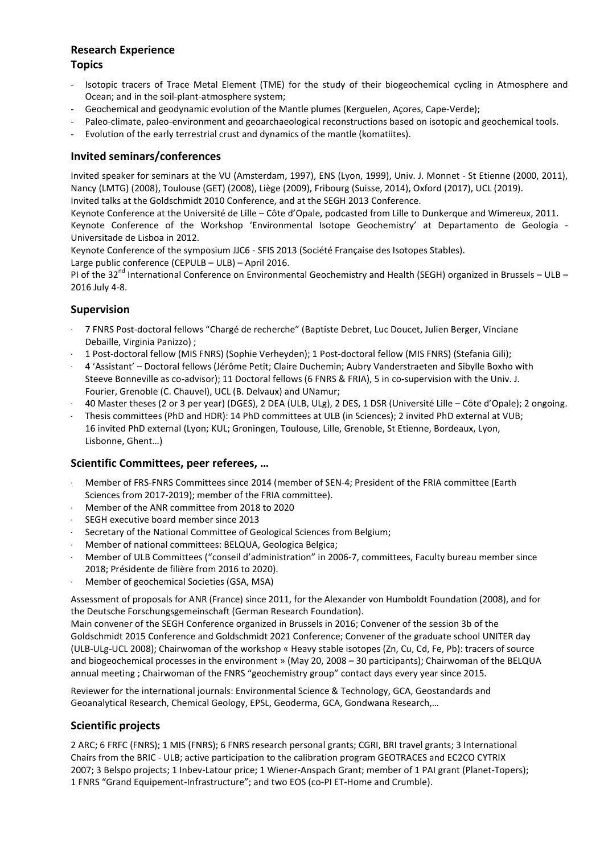# Research Experience

# **Topics**

- Isotopic tracers of Trace Metal Element (TME) for the study of their biogeochemical cycling in Atmosphere and Ocean; and in the soil-plant-atmosphere system;
- Geochemical and geodynamic evolution of the Mantle plumes (Kerguelen, Açores, Cape-Verde);
- Paleo-climate, paleo-environment and geoarchaeological reconstructions based on isotopic and geochemical tools.
- Evolution of the early terrestrial crust and dynamics of the mantle (komatiites).

## Invited seminars/conferences

Invited speaker for seminars at the VU (Amsterdam, 1997), ENS (Lyon, 1999), Univ. J. Monnet - St Etienne (2000, 2011), Nancy (LMTG) (2008), Toulouse (GET) (2008), Liège (2009), Fribourg (Suisse, 2014), Oxford (2017), UCL (2019). Invited talks at the Goldschmidt 2010 Conference, and at the SEGH 2013 Conference.

Keynote Conference at the Université de Lille – Côte d'Opale, podcasted from Lille to Dunkerque and Wimereux, 2011. Keynote Conference of the Workshop 'Environmental Isotope Geochemistry' at Departamento de Geologia - Universitade de Lisboa in 2012.

Keynote Conference of the symposium JJC6 - SFIS 2013 (Société Française des Isotopes Stables). Large public conference (CEPULB – ULB) – April 2016.

PI of the 32<sup>nd</sup> International Conference on Environmental Geochemistry and Health (SEGH) organized in Brussels – ULB – 2016 July 4-8.

# Supervision

- 7 FNRS Post-doctoral fellows "Chargé de recherche" (Baptiste Debret, Luc Doucet, Julien Berger, Vinciane Debaille, Virginia Panizzo) ;
- 1 Post-doctoral fellow (MIS FNRS) (Sophie Verheyden); 1 Post-doctoral fellow (MIS FNRS) (Stefania Gili);
- 4 'Assistant' Doctoral fellows (Jérôme Petit; Claire Duchemin; Aubry Vanderstraeten and Sibylle Boxho with Steeve Bonneville as co-advisor); 11 Doctoral fellows (6 FNRS & FRIA), 5 in co-supervision with the Univ. J. Fourier, Grenoble (C. Chauvel), UCL (B. Delvaux) and UNamur;
- 40 Master theses (2 or 3 per year) (DGES), 2 DEA (ULB, ULg), 2 DES, 1 DSR (Université Lille Côte d'Opale); 2 ongoing.
- Thesis committees (PhD and HDR): 14 PhD committees at ULB (in Sciences); 2 invited PhD external at VUB; 16 invited PhD external (Lyon; KUL; Groningen, Toulouse, Lille, Grenoble, St Etienne, Bordeaux, Lyon, Lisbonne, Ghent…)

## Scientific Committees, peer referees, …

- Member of FRS-FNRS Committees since 2014 (member of SEN-4; President of the FRIA committee (Earth Sciences from 2017-2019); member of the FRIA committee).
- Member of the ANR committee from 2018 to 2020
- SEGH executive board member since 2013
- Secretary of the National Committee of Geological Sciences from Belgium;
- Member of national committees: BELQUA, Geologica Belgica;
- Member of ULB Committees ("conseil d'administration" in 2006-7, committees, Faculty bureau member since 2018; Présidente de filière from 2016 to 2020).
- Member of geochemical Societies (GSA, MSA) -

Assessment of proposals for ANR (France) since 2011, for the Alexander von Humboldt Foundation (2008), and for the Deutsche Forschungsgemeinschaft (German Research Foundation).

Main convener of the SEGH Conference organized in Brussels in 2016; Convener of the session 3b of the Goldschmidt 2015 Conference and Goldschmidt 2021 Conference; Convener of the graduate school UNITER day (ULB-ULg-UCL 2008); Chairwoman of the workshop « Heavy stable isotopes (Zn, Cu, Cd, Fe, Pb): tracers of source and biogeochemical processes in the environment » (May 20, 2008 – 30 participants); Chairwoman of the BELQUA annual meeting ; Chairwoman of the FNRS "geochemistry group" contact days every year since 2015.

Reviewer for the international journals: Environmental Science & Technology, GCA, Geostandards and Geoanalytical Research, Chemical Geology, EPSL, Geoderma, GCA, Gondwana Research,…

## Scientific projects

2 ARC; 6 FRFC (FNRS); 1 MIS (FNRS); 6 FNRS research personal grants; CGRI, BRI travel grants; 3 International Chairs from the BRIC - ULB; active participation to the calibration program GEOTRACES and EC2CO CYTRIX 2007; 3 Belspo projects; 1 Inbev-Latour price; 1 Wiener-Anspach Grant; member of 1 PAI grant (Planet-Topers); 1 FNRS "Grand Equipement-Infrastructure"; and two EOS (co-PI ET-Home and Crumble).